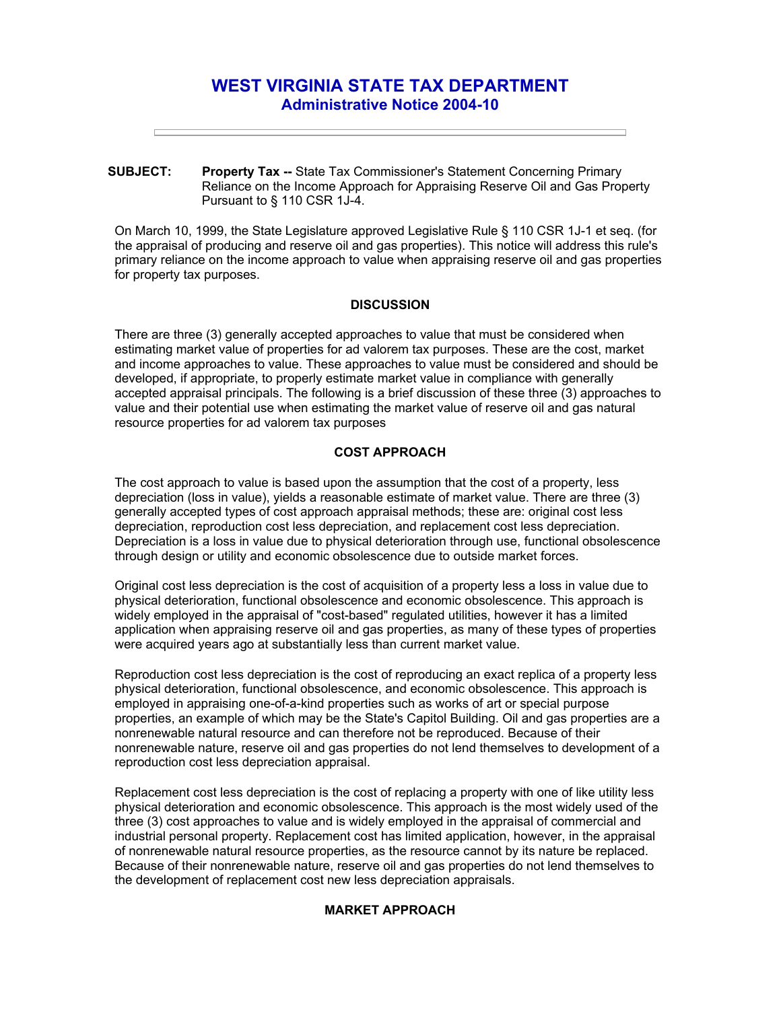# **WEST VIRGINIA STATE TAX DEPARTMENT Administrative Notice 2004-10**

**SUBJECT: Property Tax --** State Tax Commissioner's Statement Concerning Primary Reliance on the Income Approach for Appraising Reserve Oil and Gas Property Pursuant to § 110 CSR 1J-4.

On March 10, 1999, the State Legislature approved Legislative Rule § 110 CSR 1J-1 et seq. (for the appraisal of producing and reserve oil and gas properties). This notice will address this rule's primary reliance on the income approach to value when appraising reserve oil and gas properties for property tax purposes.

## **DISCUSSION**

There are three (3) generally accepted approaches to value that must be considered when estimating market value of properties for ad valorem tax purposes. These are the cost, market and income approaches to value. These approaches to value must be considered and should be developed, if appropriate, to properly estimate market value in compliance with generally accepted appraisal principals. The following is a brief discussion of these three (3) approaches to value and their potential use when estimating the market value of reserve oil and gas natural resource properties for ad valorem tax purposes

### **COST APPROACH**

The cost approach to value is based upon the assumption that the cost of a property, less depreciation (loss in value), yields a reasonable estimate of market value. There are three (3) generally accepted types of cost approach appraisal methods; these are: original cost less depreciation, reproduction cost less depreciation, and replacement cost less depreciation. Depreciation is a loss in value due to physical deterioration through use, functional obsolescence through design or utility and economic obsolescence due to outside market forces.

Original cost less depreciation is the cost of acquisition of a property less a loss in value due to physical deterioration, functional obsolescence and economic obsolescence. This approach is widely employed in the appraisal of "cost-based" regulated utilities, however it has a limited application when appraising reserve oil and gas properties, as many of these types of properties were acquired years ago at substantially less than current market value.

Reproduction cost less depreciation is the cost of reproducing an exact replica of a property less physical deterioration, functional obsolescence, and economic obsolescence. This approach is employed in appraising one-of-a-kind properties such as works of art or special purpose properties, an example of which may be the State's Capitol Building. Oil and gas properties are a nonrenewable natural resource and can therefore not be reproduced. Because of their nonrenewable nature, reserve oil and gas properties do not lend themselves to development of a reproduction cost less depreciation appraisal.

Replacement cost less depreciation is the cost of replacing a property with one of like utility less physical deterioration and economic obsolescence. This approach is the most widely used of the three (3) cost approaches to value and is widely employed in the appraisal of commercial and industrial personal property. Replacement cost has limited application, however, in the appraisal of nonrenewable natural resource properties, as the resource cannot by its nature be replaced. Because of their nonrenewable nature, reserve oil and gas properties do not lend themselves to the development of replacement cost new less depreciation appraisals.

### **MARKET APPROACH**